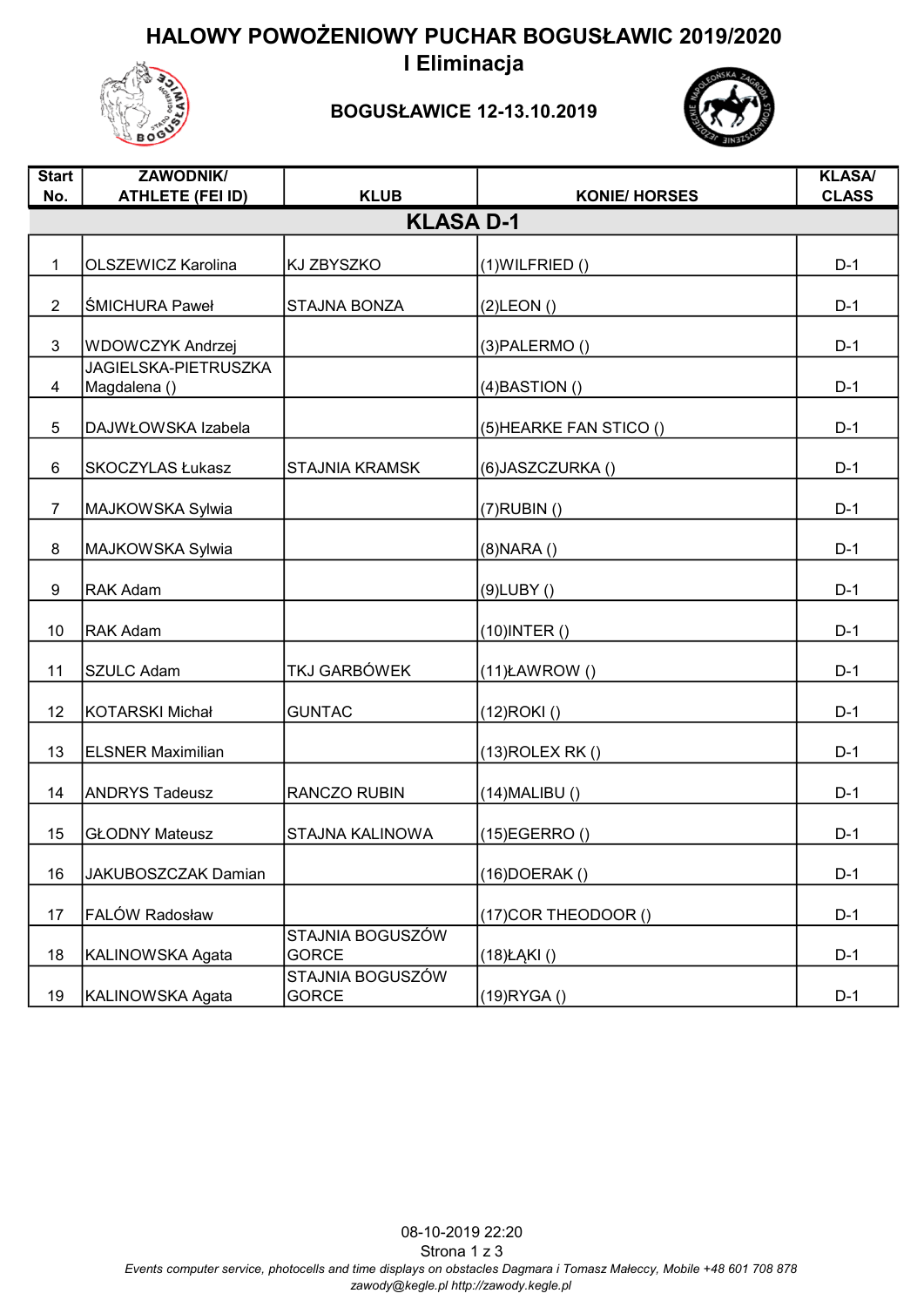HALOWY POWOŻENIOWY PUCHAR BOGUSŁAWIC 2019/2020 I Eliminacja



## BOGUSŁAWICE 12-13.10.2019



| <b>Start</b><br>No. | <b>ZAWODNIK/</b><br><b>ATHLETE (FEI ID)</b> | <b>KLUB</b>                      | <b>KONIE/ HORSES</b>    | <b>KLASA/</b><br><b>CLASS</b> |  |  |
|---------------------|---------------------------------------------|----------------------------------|-------------------------|-------------------------------|--|--|
| <b>KLASA D-1</b>    |                                             |                                  |                         |                               |  |  |
|                     |                                             |                                  |                         |                               |  |  |
| $\mathbf{1}$        | <b>OLSZEWICZ Karolina</b>                   | <b>KJ ZBYSZKO</b>                | $(1)$ WILFRIED $()$     | $D-1$                         |  |  |
| $\overline{2}$      | <b>ŚMICHURA Paweł</b>                       | <b>STAJNA BONZA</b>              | $(2)$ LEON $()$         | $D-1$                         |  |  |
| 3                   | WDOWCZYK Andrzej                            |                                  | $(3)$ PALERMO $()$      | $D-1$                         |  |  |
| 4                   | <b>JAGIELSKA-PIETRUSZKA</b><br>Magdalena () |                                  | $(4)$ BASTION $()$      | $D-1$                         |  |  |
| 5                   | DAJWŁOWSKA Izabela                          |                                  | (5) HEARKE FAN STICO () | $D-1$                         |  |  |
| 6                   | SKOCZYLAS Łukasz                            | <b>STAJNIA KRAMSK</b>            | (6) JASZCZURKA ()       | $D-1$                         |  |  |
| $\overline{7}$      | MAJKOWSKA Sylwia                            |                                  | $(7)$ RUBIN $()$        | $D-1$                         |  |  |
| $\bf 8$             | MAJKOWSKA Sylwia                            |                                  | $(8)$ NARA $()$         | $D-1$                         |  |  |
| 9                   | <b>RAK Adam</b>                             |                                  | $(9)$ LUBY $()$         | $D-1$                         |  |  |
| 10                  | RAK Adam                                    |                                  | $(10)$ INTER $()$       | $D-1$                         |  |  |
| 11                  | <b>SZULC Adam</b>                           | TKJ GARBÓWEK                     | $(11)$ ŁAWROW $()$      | $D-1$                         |  |  |
| 12                  | <b>KOTARSKI Michał</b>                      | <b>GUNTAC</b>                    | $(12)$ ROKI $()$        | $D-1$                         |  |  |
| 13                  | <b>ELSNER Maximilian</b>                    |                                  | $(13)$ ROLEX RK $()$    | $D-1$                         |  |  |
| 14                  | <b>ANDRYS Tadeusz</b>                       | <b>RANCZO RUBIN</b>              | $(14)$ MALIBU $()$      | $D-1$                         |  |  |
| 15                  | <b>GŁODNY Mateusz</b>                       | STAJNA KALINOWA                  | $(15)$ EGERRO $()$      | $D-1$                         |  |  |
| 16                  | JAKUBOSZCZAK Damian                         |                                  | $(16)$ DOERAK $()$      | $D-1$                         |  |  |
| 17                  | FALÓW Radosław                              |                                  | (17) COR THEODOOR ()    | $D-1$                         |  |  |
| 18                  | KALINOWSKA Agata                            | STAJNIA BOGUSZÓW<br><b>GORCE</b> | $(18)$ ŁĄKI $()$        | $D-1$                         |  |  |
| 19                  | KALINOWSKA Agata                            | STAJNIA BOGUSZÓW<br><b>GORCE</b> | $(19)$ RYGA $()$        | $D-1$                         |  |  |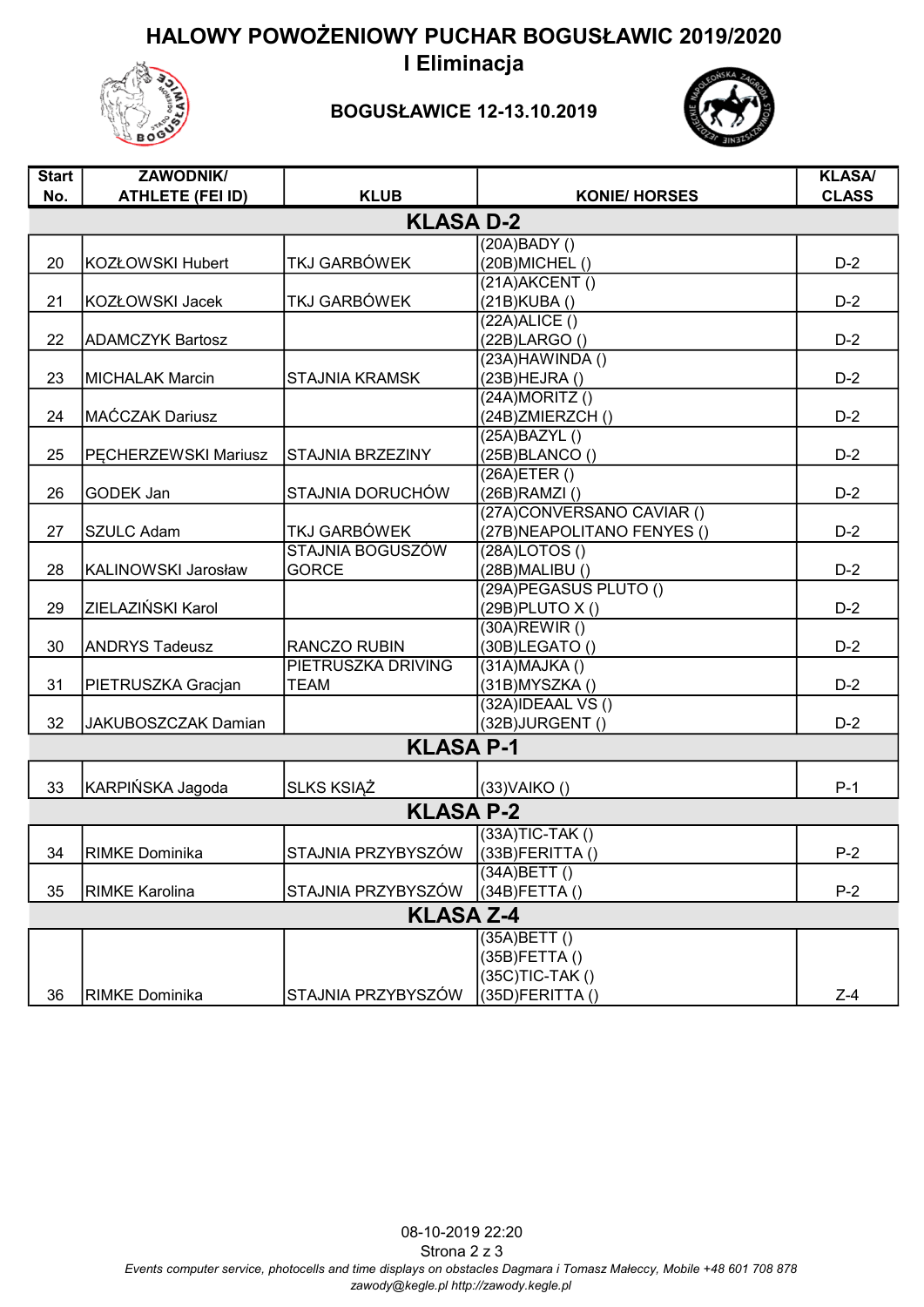HALOWY POWOŻENIOWY PUCHAR BOGUSŁAWIC 2019/2020 I Eliminacja



## BOGUSŁAWICE 12-13.10.2019



| <b>Start</b>     | <b>ZAWODNIK/</b>        |                         |                                   | <b>KLASA/</b> |  |  |  |
|------------------|-------------------------|-------------------------|-----------------------------------|---------------|--|--|--|
| No.              | <b>ATHLETE (FEI ID)</b> | <b>KLUB</b>             | <b>KONIE/ HORSES</b>              | <b>CLASS</b>  |  |  |  |
| <b>KLASA D-2</b> |                         |                         |                                   |               |  |  |  |
|                  |                         |                         |                                   |               |  |  |  |
|                  |                         |                         | (20A)BADY()                       |               |  |  |  |
| 20               | <b>KOZŁOWSKI Hubert</b> | TKJ GARBÓWEK            | (20B) MICHEL ()                   | $D-2$         |  |  |  |
| 21               |                         | TKJ GARBÓWEK            | (21A)AKCENT()                     |               |  |  |  |
|                  | KOZŁOWSKI Jacek         |                         | (21B) KUBA ()<br>(22A)ALICE()     | $D-2$         |  |  |  |
| 22               |                         |                         | $(22B)$ LARGO $()$                | $D-2$         |  |  |  |
|                  | <b>ADAMCZYK Bartosz</b> |                         | $(23A)$ HAWINDA $()$              |               |  |  |  |
| 23               | <b>MICHALAK Marcin</b>  | <b>STAJNIA KRAMSK</b>   | $(23B)$ HEJRA $()$                | $D-2$         |  |  |  |
|                  |                         |                         | $(24A)$ MORITZ $()$               |               |  |  |  |
| 24               | MAĆCZAK Dariusz         |                         | (24B)ZMIERZCH()                   | $D-2$         |  |  |  |
|                  |                         |                         | (25A)BAZYL()                      |               |  |  |  |
| 25               | PECHERZEWSKI Mariusz    | <b>STAJNIA BRZEZINY</b> | (25B)BLANCO()                     | $D-2$         |  |  |  |
|                  |                         |                         | $(26A)$ ETER $()$                 |               |  |  |  |
| 26               | <b>GODEK Jan</b>        | STAJNIA DORUCHÓW        | $(26B)$ RAMZI $()$                | $D-2$         |  |  |  |
|                  |                         |                         | (27A)CONVERSANO CAVIAR ()         |               |  |  |  |
| 27               | <b>SZULC Adam</b>       | <b>TKJ GARBÓWEK</b>     | (27B) NEAPOLITANO FENYES ()       | $D-2$         |  |  |  |
|                  |                         | STAJNIA BOGUSZÓW        | (28A)LOTOS()                      |               |  |  |  |
| 28               | KALINOWSKI Jarosław     | <b>GORCE</b>            | $(28B)$ MALIBU $()$               | $D-2$         |  |  |  |
|                  |                         |                         | (29A) PEGASUS PLUTO ()            |               |  |  |  |
| 29               | ZIELAZIŃSKI Karol       |                         | (29B) PLUTO X ()                  | $D-2$         |  |  |  |
|                  |                         |                         | $(30A)$ REWIR $()$                |               |  |  |  |
| 30               | <b>ANDRYS Tadeusz</b>   | <b>RANCZO RUBIN</b>     | $(30B)$ LEGATO $()$               | $D-2$         |  |  |  |
|                  |                         | PIETRUSZKA DRIVING      | (31A)MAJKA()                      |               |  |  |  |
| 31               | PIETRUSZKA Gracjan      | <b>TEAM</b>             | $(31B)$ MYSZKA $()$               | $D-2$         |  |  |  |
|                  |                         |                         | $(32A)$ IDEAAL VS $()$            |               |  |  |  |
| 32               | JAKUBOSZCZAK Damian     |                         | (32B)JURGENT()                    | $D-2$         |  |  |  |
|                  |                         | <b>KLASA P-1</b>        |                                   |               |  |  |  |
|                  |                         |                         |                                   |               |  |  |  |
| 33               | KARPIŃSKA Jagoda        | <b>SLKS KSIAZ</b>       | $(33)$ VAIKO $()$                 | $P-1$         |  |  |  |
|                  |                         | <b>KLASA P-2</b>        |                                   |               |  |  |  |
|                  |                         |                         |                                   |               |  |  |  |
|                  |                         |                         | $(33A)TIC-TAK()$                  |               |  |  |  |
| 34               | <b>RIMKE Dominika</b>   | STAJNIA PRZYBYSZÓW      | (33B)FERITTA()                    | $P-2$         |  |  |  |
| 35               | <b>RIMKE Karolina</b>   | STAJNIA PRZYBYSZÓW      | (34A)BETT()<br>$(34B)$ FETTA $()$ | $P-2$         |  |  |  |
|                  |                         |                         |                                   |               |  |  |  |
|                  |                         | <b>KLASA Z-4</b>        |                                   |               |  |  |  |
|                  |                         |                         | (35A)BETT()                       |               |  |  |  |
|                  |                         |                         | (35B)FETTA()                      |               |  |  |  |
|                  |                         |                         | (35C)TIC-TAK()                    |               |  |  |  |
| 36               | <b>RIMKE Dominika</b>   | STAJNIA PRZYBYSZÓW      | $(35D)$ FERITTA $()$              | $Z-4$         |  |  |  |